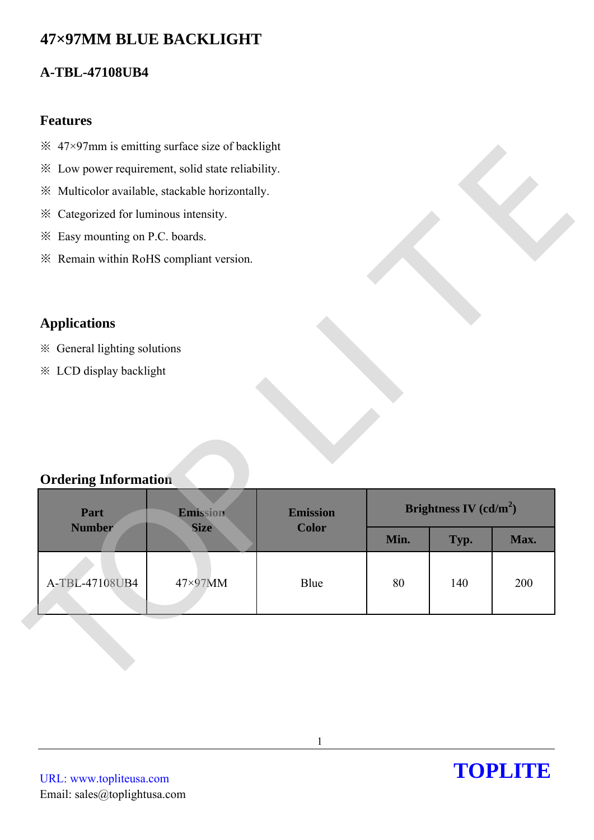# **47×97MM BLUE BACKLIGHT**

# **A-TBL-47108UB4**

### **Features**

- $\frac{1}{2}$  47×97mm is emitting surface size of backlight
- ※ Low power requirement, solid state reliability.
- ※ Multicolor available, stackable horizontally.
- ※ Categorized for luminous intensity.
- ※ Easy mounting on P.C. boards.
- ※ Remain within RoHS compliant version.

# **Applications**

- ※ General lighting solutions
- ※ LCD display backlight

## **Ordering Information**

|                                         | * Low power requirement, solid state reliability. |                 |      |                          |      |
|-----------------------------------------|---------------------------------------------------|-----------------|------|--------------------------|------|
|                                         | ※ Multicolor available, stackable horizontally.   |                 |      |                          |      |
| * Categorized for luminous intensity.   |                                                   |                 |      |                          |      |
| * Easy mounting on P.C. boards.         |                                                   |                 |      |                          |      |
| * Remain within RoHS compliant version. |                                                   |                 |      |                          |      |
|                                         |                                                   |                 |      |                          |      |
|                                         |                                                   |                 |      |                          |      |
| <b>Applications</b>                     |                                                   |                 |      |                          |      |
| * General lighting solutions            |                                                   |                 |      |                          |      |
|                                         |                                                   |                 |      |                          |      |
| <b>※ LCD display backlight</b>          |                                                   |                 |      |                          |      |
|                                         |                                                   |                 |      |                          |      |
| <b>Ordering Information</b>             |                                                   |                 |      |                          |      |
| Part                                    | Emission                                          | <b>Emission</b> |      | Brightness IV $(cd/m^2)$ |      |
| <b>Number</b>                           | <b>Size</b>                                       | <b>Color</b>    | Min. | Typ.                     | Max. |
|                                         |                                                   |                 |      |                          |      |
| A-TBL-47108UB4                          | 47×97MM                                           | Blue            | 80   | 140                      | 200  |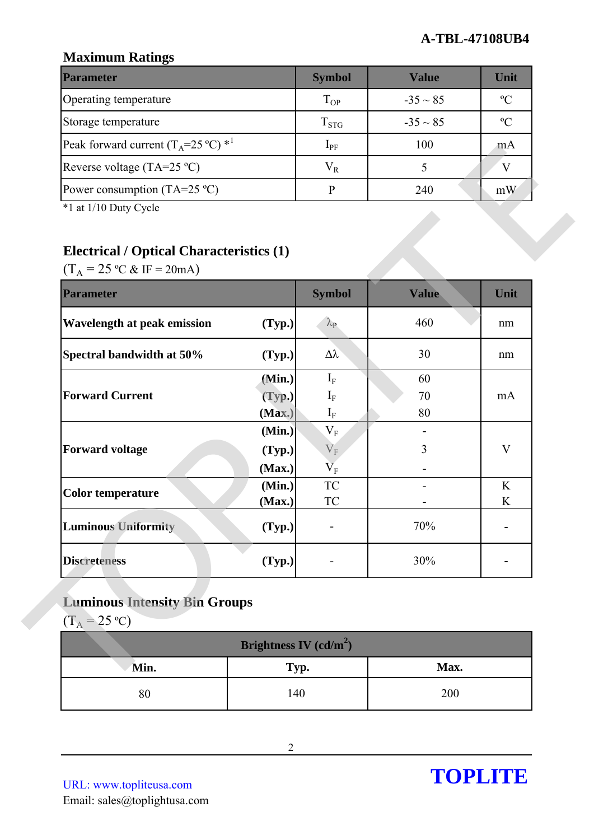## **Maximum Ratings**

| <b>Parameter</b>                                        | <b>Symbol</b> | Value         | Unit          |
|---------------------------------------------------------|---------------|---------------|---------------|
| Operating temperature                                   | $T_{OP}$      | $-35 \sim 85$ | $\mathcal{O}$ |
| Storage temperature                                     | $T_{STG}$     | $-35 \sim 85$ | $\mathcal{C}$ |
| Peak forward current $(T_A=25 \degree C)$ <sup>*1</sup> | $1_{\rm PF}$  | 100           | m A           |
| Reverse voltage (TA=25 $^{\circ}$ C)                    | $\rm V_R$     |               |               |
| Power consumption (TA=25 $^{\circ}$ C)                  |               | 240           | mW            |

# **Electrical / Optical Characteristics (1)**

| <b>Electrical / Optical Characteristics (1)</b><br>$(T_A = 25 \degree C \& IF = 20 mA)$ |                  |                         |              |             |
|-----------------------------------------------------------------------------------------|------------------|-------------------------|--------------|-------------|
| <b>Parameter</b>                                                                        |                  | <b>Symbol</b>           | <b>Value</b> | Unit        |
| <b>Wavelength at peak emission</b>                                                      | (Typ.)           | $\lambda_{\rm P}$       | 460          | nm          |
| Spectral bandwidth at 50%                                                               | (Typ.)           | Δλ                      | 30           | nm          |
|                                                                                         | (Min.)           | $I_F$                   | 60           |             |
| <b>Forward Current</b>                                                                  | (Typ.)           | $\mathbf{I}_{\rm F}$    | 70           | mA          |
|                                                                                         | (Max.)           | $\mathbf{I}_{\rm F}$    | 80           |             |
|                                                                                         | (Min.)           | $V_{F}$                 |              |             |
| <b>Forward voltage</b>                                                                  | (Typ.)           | $V_{\rm F}$             | 3            | $\mathbf V$ |
|                                                                                         | (Max.)           | $\rm V_F$<br>${\rm TC}$ |              | K           |
| <b>Color temperature</b>                                                                | (Min.)<br>(Max.) | ${\rm TC}$              |              | K           |
| <b>Luminous Uniformity</b>                                                              | (Typ.)           |                         | 70%          |             |
| <b>Discreteness</b>                                                                     | (Typ.)           |                         | 30%          |             |

# **Luminous Intensity Bin Groups**

| Brightness IV $(cd/m^2)$ |      |      |  |  |
|--------------------------|------|------|--|--|
| Min.                     | Typ. | Max. |  |  |
| $80\,$                   | 140  | 200  |  |  |

URL: www.topliteusa.com Email: sales@toplightusa.com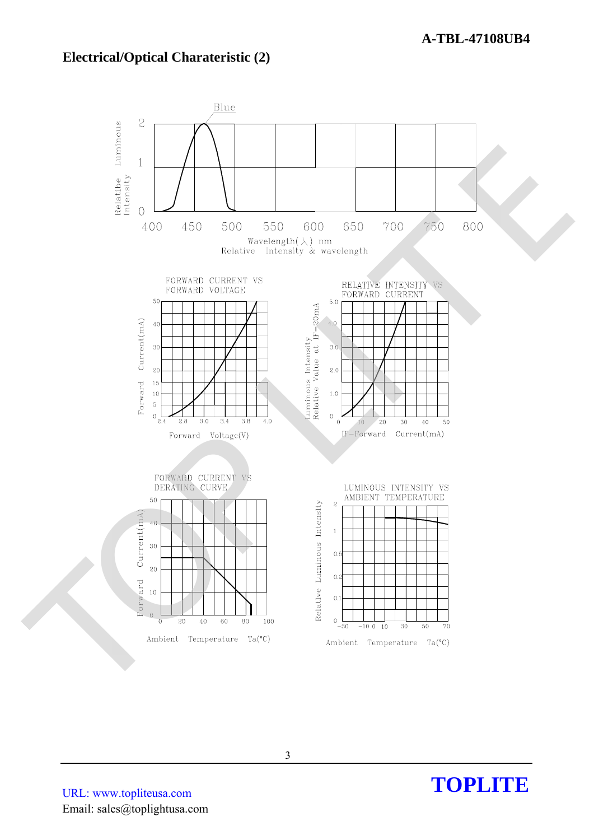### **Electrical/Optical Charateristic (2)**



**TOPLITE**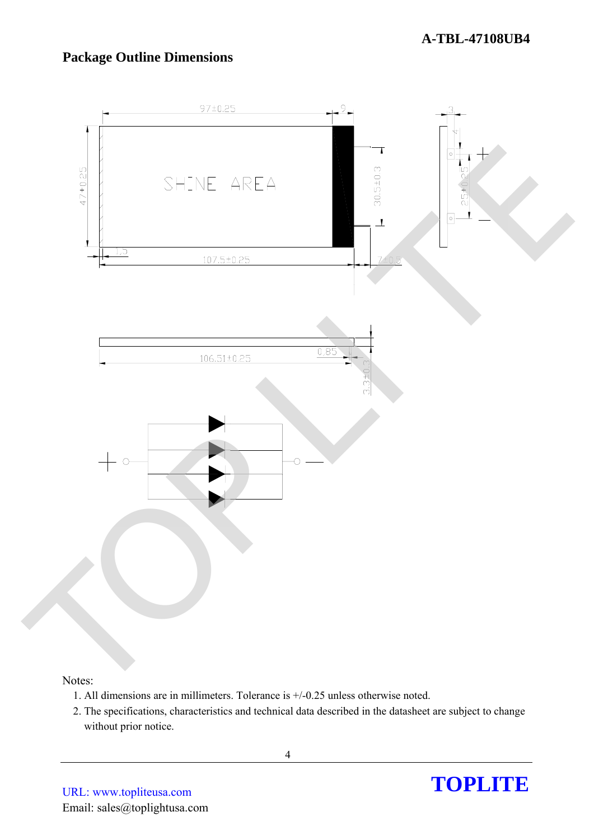# **Package Outline Dimensions**



#### Notes:

- 1. All dimensions are in millimeters. Tolerance is +/-0.25 unless otherwise noted.
- 2. The specifications, characteristics and technical data described in the datasheet are subject to change without prior notice.